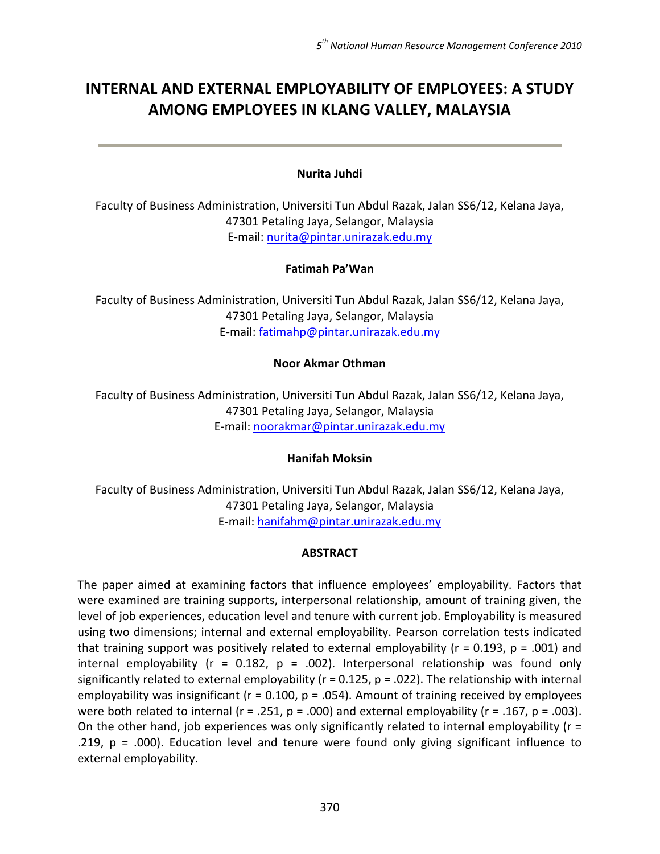# INTERNAL AND EXTERNAL EMPLOYABILITY OF EMPLOYEES: A STUDY AMONG EMPLOYEES IN KLANG VALLEY, MALAYSIA

## Nurita Juhdi

Faculty of Business Administration, Universiti Tun Abdul Razak, Jalan SS6/12, Kelana Jaya, 47301 Petaling Jaya, Selangor, Malaysia E-mail: nurita@pintar.unirazak.edu.my

## Fatimah Pa'Wan

Faculty of Business Administration, Universiti Tun Abdul Razak, Jalan SS6/12, Kelana Jaya, 47301 Petaling Jaya, Selangor, Malaysia E-mail: fatimahp@pintar.unirazak.edu.my

#### Noor Akmar Othman

Faculty of Business Administration, Universiti Tun Abdul Razak, Jalan SS6/12, Kelana Jaya, 47301 Petaling Jaya, Selangor, Malaysia E-mail: noorakmar@pintar.unirazak.edu.my

## Hanifah Moksin

Faculty of Business Administration, Universiti Tun Abdul Razak, Jalan SS6/12, Kelana Jaya, 47301 Petaling Jaya, Selangor, Malaysia E-mail: hanifahm@pintar.unirazak.edu.my

## ABSTRACT

The paper aimed at examining factors that influence employees' employability. Factors that were examined are training supports, interpersonal relationship, amount of training given, the level of job experiences, education level and tenure with current job. Employability is measured using two dimensions; internal and external employability. Pearson correlation tests indicated that training support was positively related to external employability ( $r = 0.193$ ,  $p = .001$ ) and internal employability ( $r = 0.182$ ,  $p = .002$ ). Interpersonal relationship was found only significantly related to external employability ( $r = 0.125$ ,  $p = 0.022$ ). The relationship with internal employability was insignificant ( $r = 0.100$ ,  $p = 0.054$ ). Amount of training received by employees were both related to internal ( $r = .251$ ,  $p = .000$ ) and external employability ( $r = .167$ ,  $p = .003$ ). On the other hand, job experiences was only significantly related to internal employability ( $r =$ .219,  $p = .000$ ). Education level and tenure were found only giving significant influence to external employability.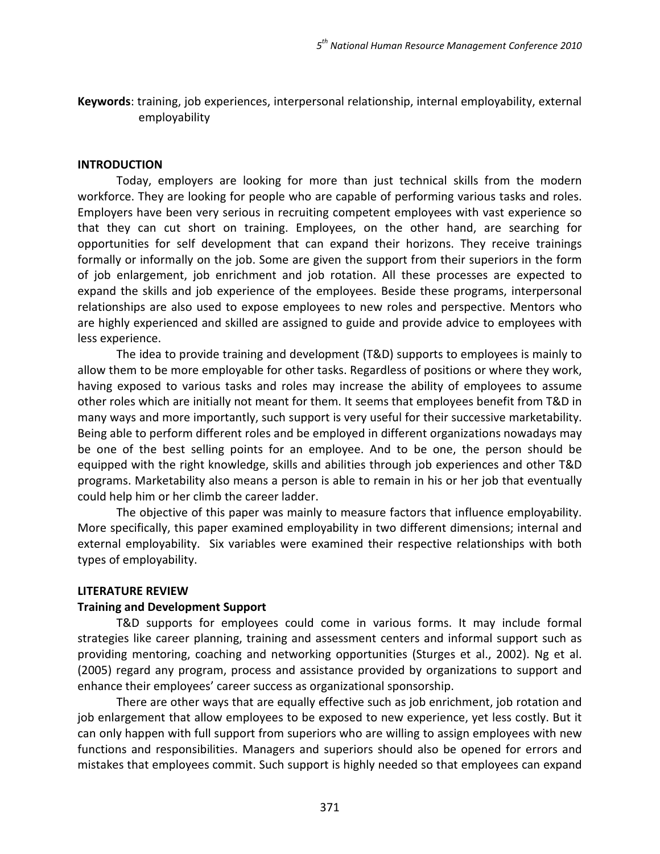Keywords: training, job experiences, interpersonal relationship, internal employability, external employability

#### INTRODUCTION

Today, employers are looking for more than just technical skills from the modern workforce. They are looking for people who are capable of performing various tasks and roles. Employers have been very serious in recruiting competent employees with vast experience so that they can cut short on training. Employees, on the other hand, are searching for opportunities for self development that can expand their horizons. They receive trainings formally or informally on the job. Some are given the support from their superiors in the form of job enlargement, job enrichment and job rotation. All these processes are expected to expand the skills and job experience of the employees. Beside these programs, interpersonal relationships are also used to expose employees to new roles and perspective. Mentors who are highly experienced and skilled are assigned to guide and provide advice to employees with less experience.

The idea to provide training and development (T&D) supports to employees is mainly to allow them to be more employable for other tasks. Regardless of positions or where they work, having exposed to various tasks and roles may increase the ability of employees to assume other roles which are initially not meant for them. It seems that employees benefit from T&D in many ways and more importantly, such support is very useful for their successive marketability. Being able to perform different roles and be employed in different organizations nowadays may be one of the best selling points for an employee. And to be one, the person should be equipped with the right knowledge, skills and abilities through job experiences and other T&D programs. Marketability also means a person is able to remain in his or her job that eventually could help him or her climb the career ladder.

The objective of this paper was mainly to measure factors that influence employability. More specifically, this paper examined employability in two different dimensions; internal and external employability. Six variables were examined their respective relationships with both types of employability.

## LITERATURE REVIEW

## Training and Development Support

T&D supports for employees could come in various forms. It may include formal strategies like career planning, training and assessment centers and informal support such as providing mentoring, coaching and networking opportunities (Sturges et al., 2002). Ng et al. (2005) regard any program, process and assistance provided by organizations to support and enhance their employees' career success as organizational sponsorship.

There are other ways that are equally effective such as job enrichment, job rotation and job enlargement that allow employees to be exposed to new experience, yet less costly. But it can only happen with full support from superiors who are willing to assign employees with new functions and responsibilities. Managers and superiors should also be opened for errors and mistakes that employees commit. Such support is highly needed so that employees can expand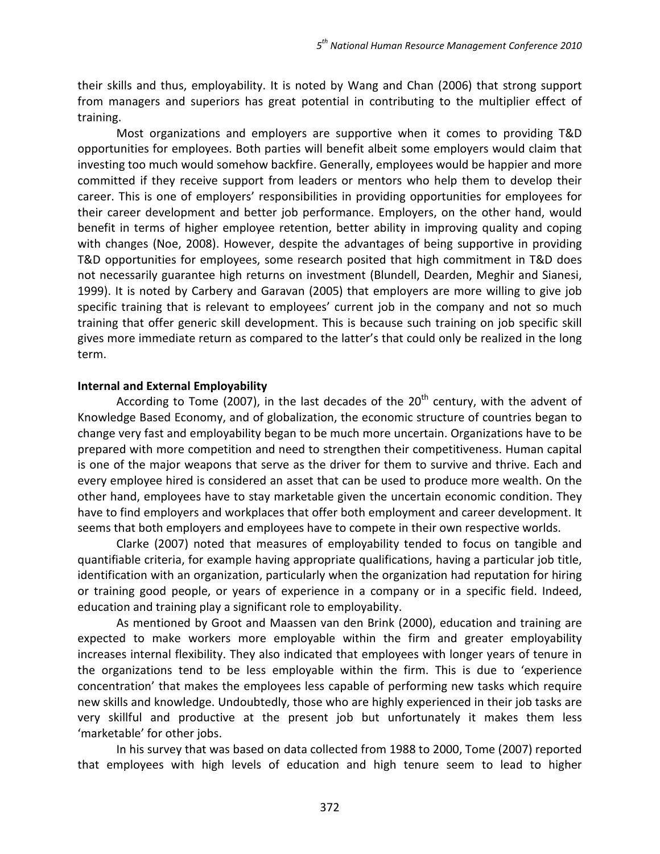their skills and thus, employability. It is noted by Wang and Chan (2006) that strong support from managers and superiors has great potential in contributing to the multiplier effect of training.

Most organizations and employers are supportive when it comes to providing T&D opportunities for employees. Both parties will benefit albeit some employers would claim that investing too much would somehow backfire. Generally, employees would be happier and more committed if they receive support from leaders or mentors who help them to develop their career. This is one of employers' responsibilities in providing opportunities for employees for their career development and better job performance. Employers, on the other hand, would benefit in terms of higher employee retention, better ability in improving quality and coping with changes (Noe, 2008). However, despite the advantages of being supportive in providing T&D opportunities for employees, some research posited that high commitment in T&D does not necessarily guarantee high returns on investment (Blundell, Dearden, Meghir and Sianesi, 1999). It is noted by Carbery and Garavan (2005) that employers are more willing to give job specific training that is relevant to employees' current job in the company and not so much training that offer generic skill development. This is because such training on job specific skill gives more immediate return as compared to the latter's that could only be realized in the long term.

## Internal and External Employability

According to Tome (2007), in the last decades of the  $20<sup>th</sup>$  century, with the advent of Knowledge Based Economy, and of globalization, the economic structure of countries began to change very fast and employability began to be much more uncertain. Organizations have to be prepared with more competition and need to strengthen their competitiveness. Human capital is one of the major weapons that serve as the driver for them to survive and thrive. Each and every employee hired is considered an asset that can be used to produce more wealth. On the other hand, employees have to stay marketable given the uncertain economic condition. They have to find employers and workplaces that offer both employment and career development. It seems that both employers and employees have to compete in their own respective worlds.

Clarke (2007) noted that measures of employability tended to focus on tangible and quantifiable criteria, for example having appropriate qualifications, having a particular job title, identification with an organization, particularly when the organization had reputation for hiring or training good people, or years of experience in a company or in a specific field. Indeed, education and training play a significant role to employability.

As mentioned by Groot and Maassen van den Brink (2000), education and training are expected to make workers more employable within the firm and greater employability increases internal flexibility. They also indicated that employees with longer years of tenure in the organizations tend to be less employable within the firm. This is due to 'experience concentration' that makes the employees less capable of performing new tasks which require new skills and knowledge. Undoubtedly, those who are highly experienced in their job tasks are very skillful and productive at the present job but unfortunately it makes them less 'marketable' for other jobs.

In his survey that was based on data collected from 1988 to 2000, Tome (2007) reported that employees with high levels of education and high tenure seem to lead to higher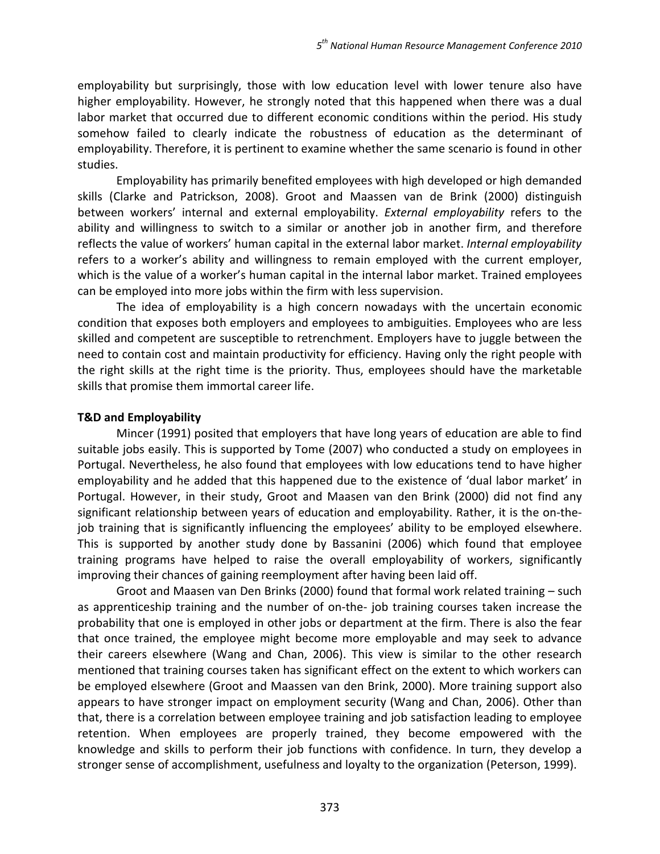employability but surprisingly, those with low education level with lower tenure also have higher employability. However, he strongly noted that this happened when there was a dual labor market that occurred due to different economic conditions within the period. His study somehow failed to clearly indicate the robustness of education as the determinant of employability. Therefore, it is pertinent to examine whether the same scenario is found in other studies.

Employability has primarily benefited employees with high developed or high demanded skills (Clarke and Patrickson, 2008). Groot and Maassen van de Brink (2000) distinguish between workers' internal and external employability. External employability refers to the ability and willingness to switch to a similar or another job in another firm, and therefore reflects the value of workers' human capital in the external labor market. Internal employability refers to a worker's ability and willingness to remain employed with the current employer, which is the value of a worker's human capital in the internal labor market. Trained employees can be employed into more jobs within the firm with less supervision.

The idea of employability is a high concern nowadays with the uncertain economic condition that exposes both employers and employees to ambiguities. Employees who are less skilled and competent are susceptible to retrenchment. Employers have to juggle between the need to contain cost and maintain productivity for efficiency. Having only the right people with the right skills at the right time is the priority. Thus, employees should have the marketable skills that promise them immortal career life.

# T&D and Employability

Mincer (1991) posited that employers that have long years of education are able to find suitable jobs easily. This is supported by Tome (2007) who conducted a study on employees in Portugal. Nevertheless, he also found that employees with low educations tend to have higher employability and he added that this happened due to the existence of 'dual labor market' in Portugal. However, in their study, Groot and Maasen van den Brink (2000) did not find any significant relationship between years of education and employability. Rather, it is the on-thejob training that is significantly influencing the employees' ability to be employed elsewhere. This is supported by another study done by Bassanini (2006) which found that employee training programs have helped to raise the overall employability of workers, significantly improving their chances of gaining reemployment after having been laid off.

Groot and Maasen van Den Brinks (2000) found that formal work related training – such as apprenticeship training and the number of on-the- job training courses taken increase the probability that one is employed in other jobs or department at the firm. There is also the fear that once trained, the employee might become more employable and may seek to advance their careers elsewhere (Wang and Chan, 2006). This view is similar to the other research mentioned that training courses taken has significant effect on the extent to which workers can be employed elsewhere (Groot and Maassen van den Brink, 2000). More training support also appears to have stronger impact on employment security (Wang and Chan, 2006). Other than that, there is a correlation between employee training and job satisfaction leading to employee retention. When employees are properly trained, they become empowered with the knowledge and skills to perform their job functions with confidence. In turn, they develop a stronger sense of accomplishment, usefulness and loyalty to the organization (Peterson, 1999).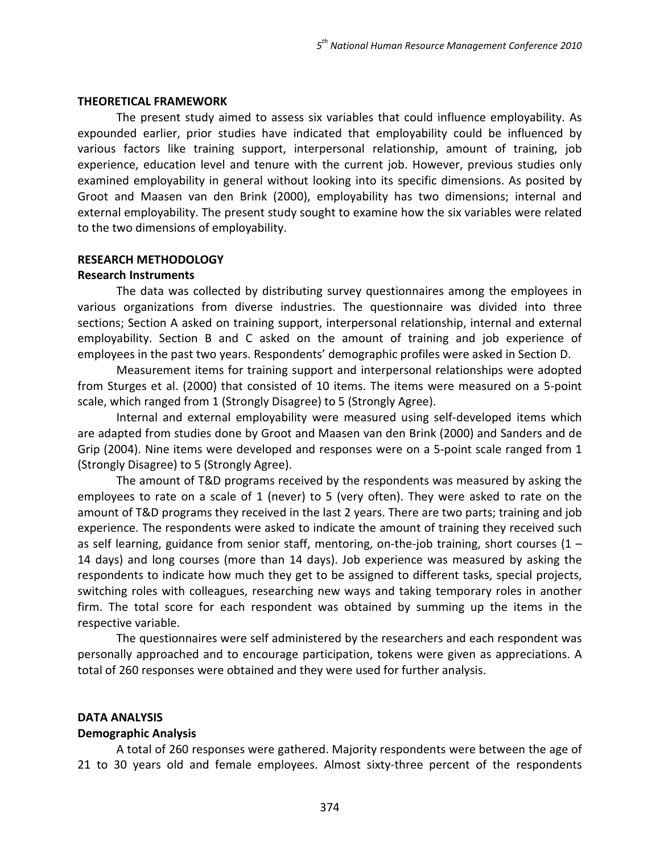#### THEORETICAL FRAMEWORK

The present study aimed to assess six variables that could influence employability. As expounded earlier, prior studies have indicated that employability could be influenced by various factors like training support, interpersonal relationship, amount of training, job experience, education level and tenure with the current job. However, previous studies only examined employability in general without looking into its specific dimensions. As posited by Groot and Maasen van den Brink (2000), employability has two dimensions; internal and external employability. The present study sought to examine how the six variables were related to the two dimensions of employability.

#### RESEARCH METHODOLOGY

#### Research Instruments

The data was collected by distributing survey questionnaires among the employees in various organizations from diverse industries. The questionnaire was divided into three sections; Section A asked on training support, interpersonal relationship, internal and external employability. Section B and C asked on the amount of training and job experience of employees in the past two years. Respondents' demographic profiles were asked in Section D.

Measurement items for training support and interpersonal relationships were adopted from Sturges et al. (2000) that consisted of 10 items. The items were measured on a 5-point scale, which ranged from 1 (Strongly Disagree) to 5 (Strongly Agree).

Internal and external employability were measured using self-developed items which are adapted from studies done by Groot and Maasen van den Brink (2000) and Sanders and de Grip (2004). Nine items were developed and responses were on a 5-point scale ranged from 1 (Strongly Disagree) to 5 (Strongly Agree).

The amount of T&D programs received by the respondents was measured by asking the employees to rate on a scale of 1 (never) to 5 (very often). They were asked to rate on the amount of T&D programs they received in the last 2 years. There are two parts; training and job experience. The respondents were asked to indicate the amount of training they received such as self learning, guidance from senior staff, mentoring, on-the-job training, short courses  $(1 -$ 14 days) and long courses (more than 14 days). Job experience was measured by asking the respondents to indicate how much they get to be assigned to different tasks, special projects, switching roles with colleagues, researching new ways and taking temporary roles in another firm. The total score for each respondent was obtained by summing up the items in the respective variable.

The questionnaires were self administered by the researchers and each respondent was personally approached and to encourage participation, tokens were given as appreciations. A total of 260 responses were obtained and they were used for further analysis.

## DATA ANALYSIS

#### Demographic Analysis

A total of 260 responses were gathered. Majority respondents were between the age of 21 to 30 years old and female employees. Almost sixty-three percent of the respondents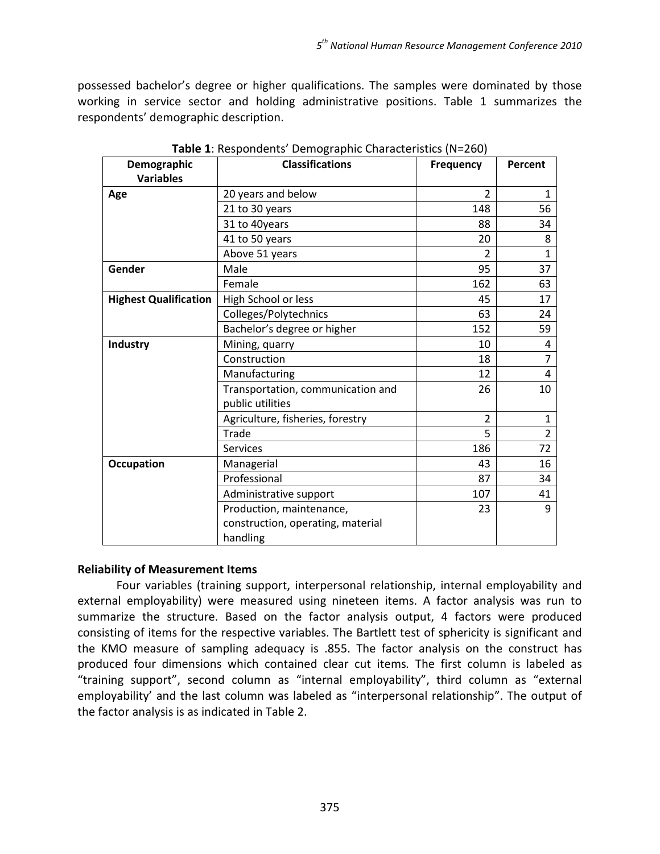possessed bachelor's degree or higher qualifications. The samples were dominated by those working in service sector and holding administrative positions. Table 1 summarizes the respondents' demographic description.

| Demographic                  | <b>Classifications</b>            | Frequency      | Percent        |
|------------------------------|-----------------------------------|----------------|----------------|
| <b>Variables</b>             |                                   |                |                |
| Age                          | 20 years and below                | $\overline{2}$ | 1              |
|                              | 21 to 30 years                    | 148            | 56             |
|                              | 31 to 40years                     | 88             | 34             |
|                              | 41 to 50 years                    | 20             | 8              |
|                              | Above 51 years                    | $\overline{2}$ | $\mathbf{1}$   |
| Gender                       | Male                              | 95             | 37             |
|                              | Female                            | 162            | 63             |
| <b>Highest Qualification</b> | High School or less               | 45             | 17             |
|                              | Colleges/Polytechnics             | 63             | 24             |
|                              | Bachelor's degree or higher       | 152            | 59             |
| Industry                     | Mining, quarry                    | 10             | 4              |
|                              | Construction                      | 18             | $\overline{7}$ |
|                              | Manufacturing                     | 12             | 4              |
|                              | Transportation, communication and | 26             | 10             |
|                              | public utilities                  |                |                |
|                              | Agriculture, fisheries, forestry  | $\overline{2}$ | 1              |
|                              | Trade                             | 5              | $\overline{2}$ |
|                              | <b>Services</b>                   | 186            | 72             |
| <b>Occupation</b>            | Managerial                        | 43             | 16             |
|                              | Professional                      | 87             | 34             |
|                              | Administrative support            | 107            | 41             |
|                              | Production, maintenance,          | 23             | 9              |
|                              | construction, operating, material |                |                |
|                              | handling                          |                |                |

Table 1: Respondents' Demographic Characteristics (N=260)

## Reliability of Measurement Items

Four variables (training support, interpersonal relationship, internal employability and external employability) were measured using nineteen items. A factor analysis was run to summarize the structure. Based on the factor analysis output, 4 factors were produced consisting of items for the respective variables. The Bartlett test of sphericity is significant and the KMO measure of sampling adequacy is .855. The factor analysis on the construct has produced four dimensions which contained clear cut items. The first column is labeled as "training support", second column as "internal employability", third column as "external employability' and the last column was labeled as "interpersonal relationship". The output of the factor analysis is as indicated in Table 2.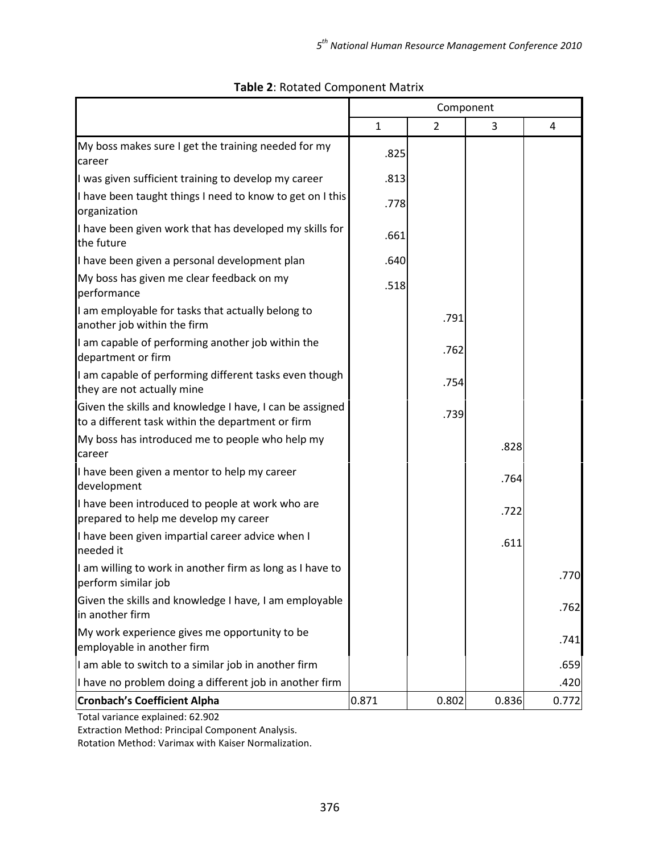|                                                                                                               | Component    |                |       |       |
|---------------------------------------------------------------------------------------------------------------|--------------|----------------|-------|-------|
|                                                                                                               | $\mathbf{1}$ | $\overline{2}$ | 3     | 4     |
| My boss makes sure I get the training needed for my<br>career                                                 | .825         |                |       |       |
| I was given sufficient training to develop my career                                                          | .813         |                |       |       |
| I have been taught things I need to know to get on I this<br>organization                                     | .778         |                |       |       |
| I have been given work that has developed my skills for<br>the future                                         | .661         |                |       |       |
| I have been given a personal development plan                                                                 | .640         |                |       |       |
| My boss has given me clear feedback on my<br>performance                                                      | .518         |                |       |       |
| I am employable for tasks that actually belong to<br>another job within the firm                              |              | .791           |       |       |
| I am capable of performing another job within the<br>department or firm                                       |              | .762           |       |       |
| I am capable of performing different tasks even though<br>they are not actually mine                          |              | .754           |       |       |
| Given the skills and knowledge I have, I can be assigned<br>to a different task within the department or firm |              | .739           |       |       |
| My boss has introduced me to people who help my<br>career                                                     |              |                | .828  |       |
| I have been given a mentor to help my career<br>development                                                   |              |                | .764  |       |
| I have been introduced to people at work who are<br>prepared to help me develop my career                     |              |                | .722  |       |
| I have been given impartial career advice when I<br>needed it                                                 |              |                | .611  |       |
| I am willing to work in another firm as long as I have to<br>perform similar job                              |              |                |       | 770   |
| Given the skills and knowledge I have, I am employable<br>in another firm                                     |              |                |       | .762  |
| My work experience gives me opportunity to be<br>employable in another firm                                   |              |                |       | .741  |
| I am able to switch to a similar job in another firm                                                          |              |                |       | .659  |
| I have no problem doing a different job in another firm                                                       |              |                |       | .420  |
| <b>Cronbach's Coefficient Alpha</b>                                                                           | 0.871        | 0.802          | 0.836 | 0.772 |

# Table 2: Rotated Component Matrix

Total variance explained: 62.902

Extraction Method: Principal Component Analysis.

Rotation Method: Varimax with Kaiser Normalization.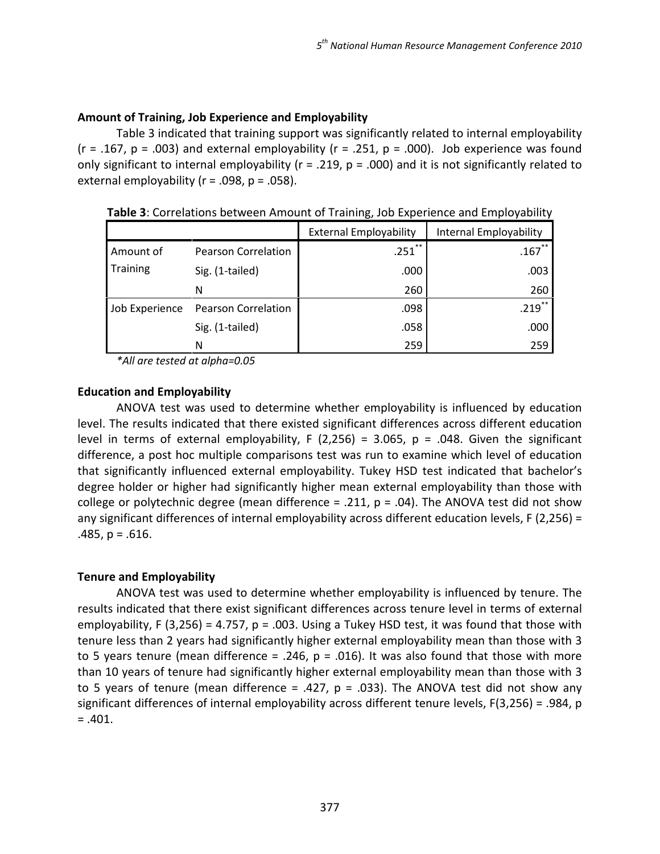# Amount of Training, Job Experience and Employability

Table 3 indicated that training support was significantly related to internal employability (r = .167, p = .003) and external employability (r = .251, p = .000). Job experience was found only significant to internal employability ( $r = .219$ ,  $p = .000$ ) and it is not significantly related to external employability ( $r = .098$ ,  $p = .058$ ).

|                |                            | <b>External Employability</b> | Internal Employability |
|----------------|----------------------------|-------------------------------|------------------------|
| Amount of      | <b>Pearson Correlation</b> | $.251$ **                     | $.167$ **              |
| Training       | Sig. (1-tailed)            | .000                          | .003                   |
|                | N                          | 260                           | 260                    |
| Job Experience | <b>Pearson Correlation</b> | .098                          | -**<br>.219            |
|                | Sig. (1-tailed)            | .058                          | .000                   |
|                | Ν                          | 259                           | 259                    |

Table 3: Correlations between Amount of Training, Job Experience and Employability

\*All are tested at alpha=0.05

## Education and Employability

ANOVA test was used to determine whether employability is influenced by education level. The results indicated that there existed significant differences across different education level in terms of external employability, F (2,256) = 3.065, p = .048. Given the significant difference, a post hoc multiple comparisons test was run to examine which level of education that significantly influenced external employability. Tukey HSD test indicated that bachelor's degree holder or higher had significantly higher mean external employability than those with college or polytechnic degree (mean difference  $= .211$ ,  $p = .04$ ). The ANOVA test did not show any significant differences of internal employability across different education levels, F (2,256) =  $.485, p = .616.$ 

## Tenure and Employability

ANOVA test was used to determine whether employability is influenced by tenure. The results indicated that there exist significant differences across tenure level in terms of external employability, F (3,256) = 4.757, p = .003. Using a Tukey HSD test, it was found that those with tenure less than 2 years had significantly higher external employability mean than those with 3 to 5 years tenure (mean difference = .246,  $p = .016$ ). It was also found that those with more than 10 years of tenure had significantly higher external employability mean than those with 3 to 5 years of tenure (mean difference = .427,  $p = .033$ ). The ANOVA test did not show any significant differences of internal employability across different tenure levels, F(3,256) = .984, p  $=.401.$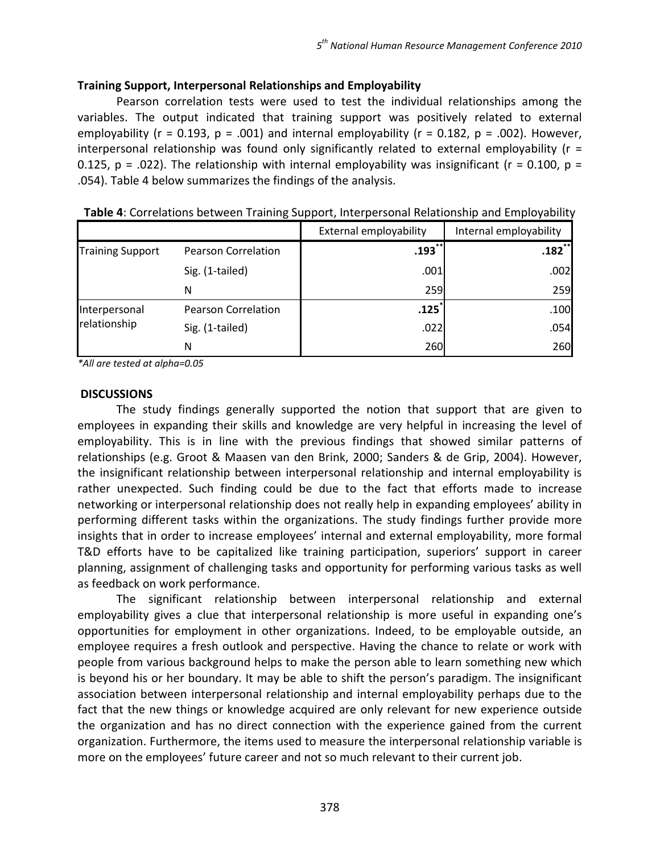# Training Support, Interpersonal Relationships and Employability

Pearson correlation tests were used to test the individual relationships among the variables. The output indicated that training support was positively related to external employability ( $r = 0.193$ ,  $p = .001$ ) and internal employability ( $r = 0.182$ ,  $p = .002$ ). However, interpersonal relationship was found only significantly related to external employability ( $r =$ 0.125, p = .022). The relationship with internal employability was insignificant ( $r = 0.100$ ,  $p =$ .054). Table 4 below summarizes the findings of the analysis.

|                               |                            | External employability | Internal employability |
|-------------------------------|----------------------------|------------------------|------------------------|
| <b>Training Support</b>       | <b>Pearson Correlation</b> | $.193$ **              | $.182$ $*$             |
|                               | Sig. (1-tailed)            | .001                   | .002                   |
|                               | N                          | 259                    | 259                    |
| Interpersonal<br>relationship | <b>Pearson Correlation</b> | .125                   | .100                   |
|                               | Sig. (1-tailed)            | .022                   | .054                   |
|                               | N                          | 260                    | 260                    |

Table 4: Correlations between Training Support, Interpersonal Relationship and Employability

\*All are tested at alpha=0.05

## **DISCUSSIONS**

The study findings generally supported the notion that support that are given to employees in expanding their skills and knowledge are very helpful in increasing the level of employability. This is in line with the previous findings that showed similar patterns of relationships (e.g. Groot & Maasen van den Brink, 2000; Sanders & de Grip, 2004). However, the insignificant relationship between interpersonal relationship and internal employability is rather unexpected. Such finding could be due to the fact that efforts made to increase networking or interpersonal relationship does not really help in expanding employees' ability in performing different tasks within the organizations. The study findings further provide more insights that in order to increase employees' internal and external employability, more formal T&D efforts have to be capitalized like training participation, superiors' support in career planning, assignment of challenging tasks and opportunity for performing various tasks as well as feedback on work performance.

The significant relationship between interpersonal relationship and external employability gives a clue that interpersonal relationship is more useful in expanding one's opportunities for employment in other organizations. Indeed, to be employable outside, an employee requires a fresh outlook and perspective. Having the chance to relate or work with people from various background helps to make the person able to learn something new which is beyond his or her boundary. It may be able to shift the person's paradigm. The insignificant association between interpersonal relationship and internal employability perhaps due to the fact that the new things or knowledge acquired are only relevant for new experience outside the organization and has no direct connection with the experience gained from the current organization. Furthermore, the items used to measure the interpersonal relationship variable is more on the employees' future career and not so much relevant to their current job.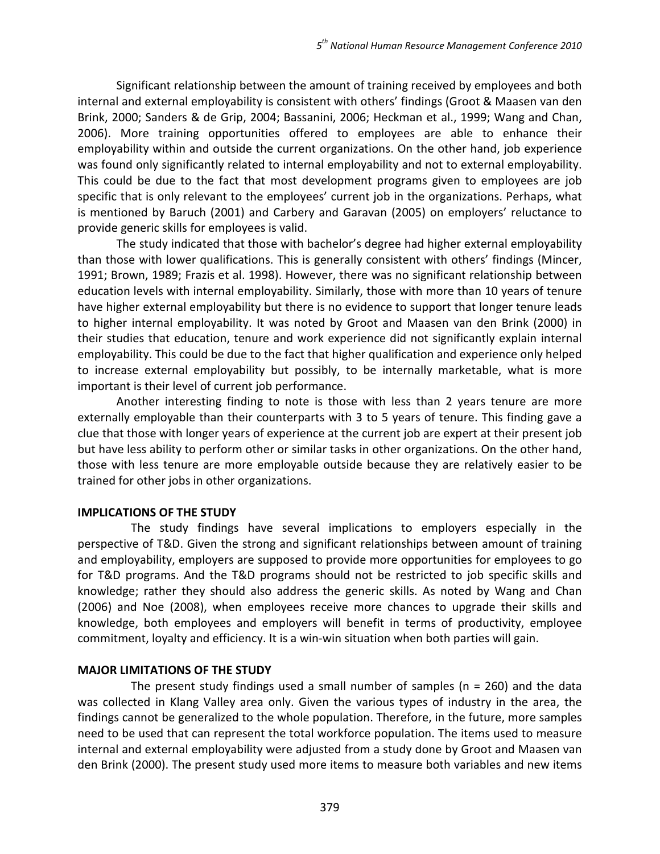Significant relationship between the amount of training received by employees and both internal and external employability is consistent with others' findings (Groot & Maasen van den Brink, 2000; Sanders & de Grip, 2004; Bassanini, 2006; Heckman et al., 1999; Wang and Chan, 2006). More training opportunities offered to employees are able to enhance their employability within and outside the current organizations. On the other hand, job experience was found only significantly related to internal employability and not to external employability. This could be due to the fact that most development programs given to employees are job specific that is only relevant to the employees' current job in the organizations. Perhaps, what is mentioned by Baruch (2001) and Carbery and Garavan (2005) on employers' reluctance to provide generic skills for employees is valid.

 The study indicated that those with bachelor's degree had higher external employability than those with lower qualifications. This is generally consistent with others' findings (Mincer, 1991; Brown, 1989; Frazis et al. 1998). However, there was no significant relationship between education levels with internal employability. Similarly, those with more than 10 years of tenure have higher external employability but there is no evidence to support that longer tenure leads to higher internal employability. It was noted by Groot and Maasen van den Brink (2000) in their studies that education, tenure and work experience did not significantly explain internal employability. This could be due to the fact that higher qualification and experience only helped to increase external employability but possibly, to be internally marketable, what is more important is their level of current job performance.

 Another interesting finding to note is those with less than 2 years tenure are more externally employable than their counterparts with 3 to 5 years of tenure. This finding gave a clue that those with longer years of experience at the current job are expert at their present job but have less ability to perform other or similar tasks in other organizations. On the other hand, those with less tenure are more employable outside because they are relatively easier to be trained for other jobs in other organizations.

## IMPLICATIONS OF THE STUDY

The study findings have several implications to employers especially in the perspective of T&D. Given the strong and significant relationships between amount of training and employability, employers are supposed to provide more opportunities for employees to go for T&D programs. And the T&D programs should not be restricted to job specific skills and knowledge; rather they should also address the generic skills. As noted by Wang and Chan (2006) and Noe (2008), when employees receive more chances to upgrade their skills and knowledge, both employees and employers will benefit in terms of productivity, employee commitment, loyalty and efficiency. It is a win-win situation when both parties will gain.

## MAJOR LIMITATIONS OF THE STUDY

The present study findings used a small number of samples ( $n = 260$ ) and the data was collected in Klang Valley area only. Given the various types of industry in the area, the findings cannot be generalized to the whole population. Therefore, in the future, more samples need to be used that can represent the total workforce population. The items used to measure internal and external employability were adjusted from a study done by Groot and Maasen van den Brink (2000). The present study used more items to measure both variables and new items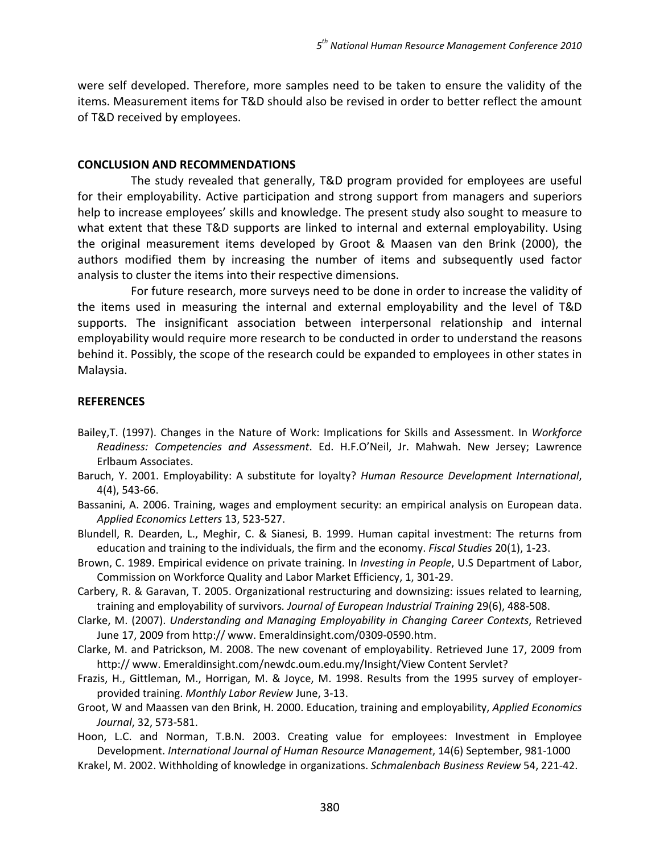were self developed. Therefore, more samples need to be taken to ensure the validity of the items. Measurement items for T&D should also be revised in order to better reflect the amount of T&D received by employees.

#### CONCLUSION AND RECOMMENDATIONS

 The study revealed that generally, T&D program provided for employees are useful for their employability. Active participation and strong support from managers and superiors help to increase employees' skills and knowledge. The present study also sought to measure to what extent that these T&D supports are linked to internal and external employability. Using the original measurement items developed by Groot & Maasen van den Brink (2000), the authors modified them by increasing the number of items and subsequently used factor analysis to cluster the items into their respective dimensions.

 For future research, more surveys need to be done in order to increase the validity of the items used in measuring the internal and external employability and the level of T&D supports. The insignificant association between interpersonal relationship and internal employability would require more research to be conducted in order to understand the reasons behind it. Possibly, the scope of the research could be expanded to employees in other states in Malaysia.

## **REFERENCES**

- Bailey, T. (1997). Changes in the Nature of Work: Implications for Skills and Assessment. In Workforce Readiness: Competencies and Assessment. Ed. H.F.O'Neil, Jr. Mahwah. New Jersey; Lawrence Erlbaum Associates.
- Baruch, Y. 2001. Employability: A substitute for loyalty? Human Resource Development International, 4(4), 543-66.
- Bassanini, A. 2006. Training, wages and employment security: an empirical analysis on European data. Applied Economics Letters 13, 523-527.
- Blundell, R. Dearden, L., Meghir, C. & Sianesi, B. 1999. Human capital investment: The returns from education and training to the individuals, the firm and the economy. Fiscal Studies 20(1), 1-23.
- Brown, C. 1989. Empirical evidence on private training. In Investing in People, U.S Department of Labor, Commission on Workforce Quality and Labor Market Efficiency, 1, 301-29.
- Carbery, R. & Garavan, T. 2005. Organizational restructuring and downsizing: issues related to learning, training and employability of survivors. Journal of European Industrial Training 29(6), 488-508.
- Clarke, M. (2007). Understanding and Managing Employability in Changing Career Contexts, Retrieved June 17, 2009 from http:// www. Emeraldinsight.com/0309-0590.htm.
- Clarke, M. and Patrickson, M. 2008. The new covenant of employability. Retrieved June 17, 2009 from http:// www. Emeraldinsight.com/newdc.oum.edu.my/Insight/View Content Servlet?
- Frazis, H., Gittleman, M., Horrigan, M. & Joyce, M. 1998. Results from the 1995 survey of employerprovided training. Monthly Labor Review June, 3-13.
- Groot, W and Maassen van den Brink, H. 2000. Education, training and employability, Applied Economics Journal, 32, 573-581.
- Hoon, L.C. and Norman, T.B.N. 2003. Creating value for employees: Investment in Employee Development. International Journal of Human Resource Management, 14(6) September, 981-1000
- Krakel, M. 2002. Withholding of knowledge in organizations. Schmalenbach Business Review 54, 221-42.